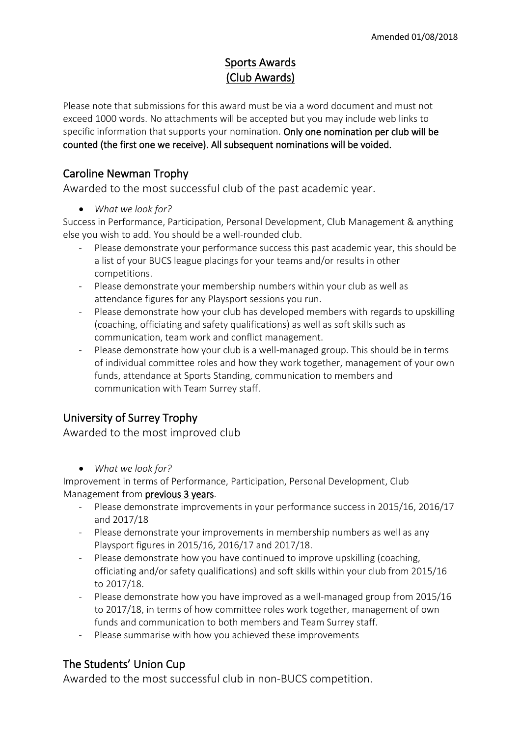# Sports Awards (Club Awards)

Please note that submissions for this award must be via a word document and must not exceed 1000 words. No attachments will be accepted but you may include web links to specific information that supports your nomination. Only one nomination per club will be counted (the first one we receive). All subsequent nominations will be voided.

#### Caroline Newman Trophy

Awarded to the most successful club of the past academic year.

• *What we look for?*

Success in Performance, Participation, Personal Development, Club Management & anything else you wish to add. You should be a well-rounded club.

- Please demonstrate your performance success this past academic year, this should be a list of your BUCS league placings for your teams and/or results in other competitions.
- Please demonstrate your membership numbers within your club as well as attendance figures for any Playsport sessions you run.
- Please demonstrate how your club has developed members with regards to upskilling (coaching, officiating and safety qualifications) as well as soft skills such as communication, team work and conflict management.
- Please demonstrate how your club is a well-managed group. This should be in terms of individual committee roles and how they work together, management of your own funds, attendance at Sports Standing, communication to members and communication with Team Surrey staff.

# University of Surrey Trophy

Awarded to the most improved club

• *What we look for?*

Improvement in terms of Performance, Participation, Personal Development, Club Management from previous 3 years.

- Please demonstrate improvements in your performance success in 2015/16, 2016/17 and 2017/18
- Please demonstrate your improvements in membership numbers as well as any Playsport figures in 2015/16, 2016/17 and 2017/18.
- Please demonstrate how you have continued to improve upskilling (coaching, officiating and/or safety qualifications) and soft skills within your club from 2015/16 to 2017/18.
- Please demonstrate how you have improved as a well-managed group from 2015/16 to 2017/18, in terms of how committee roles work together, management of own funds and communication to both members and Team Surrey staff.
- Please summarise with how you achieved these improvements

# The Students' Union Cup

Awarded to the most successful club in non-BUCS competition.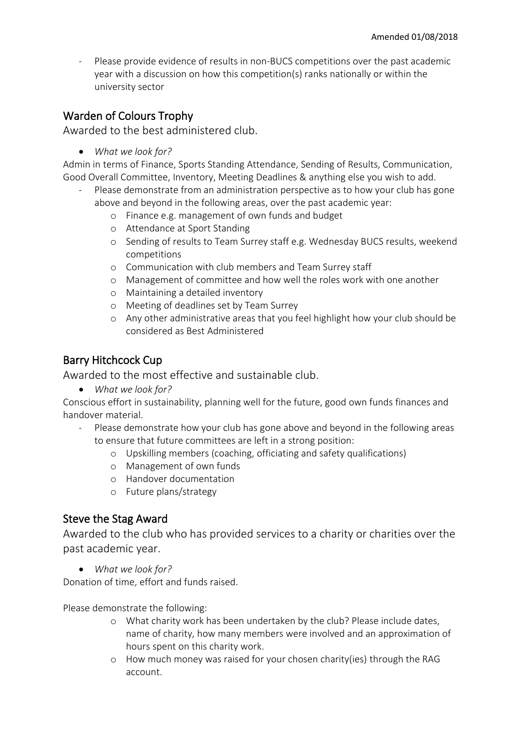- Please provide evidence of results in non-BUCS competitions over the past academic year with a discussion on how this competition(s) ranks nationally or within the university sector

## Warden of Colours Trophy

Awarded to the best administered club.

• *What we look for?*

Admin in terms of Finance, Sports Standing Attendance, Sending of Results, Communication, Good Overall Committee, Inventory, Meeting Deadlines & anything else you wish to add.

- Please demonstrate from an administration perspective as to how your club has gone above and beyond in the following areas, over the past academic year:
	- o Finance e.g. management of own funds and budget
	- o Attendance at Sport Standing
	- o Sending of results to Team Surrey staff e.g. Wednesday BUCS results, weekend competitions
	- o Communication with club members and Team Surrey staff
	- o Management of committee and how well the roles work with one another
	- o Maintaining a detailed inventory
	- o Meeting of deadlines set by Team Surrey
	- o Any other administrative areas that you feel highlight how your club should be considered as Best Administered

#### Barry Hitchcock Cup

Awarded to the most effective and sustainable club.

• *What we look for?*

Conscious effort in sustainability, planning well for the future, good own funds finances and handover material.

- Please demonstrate how your club has gone above and beyond in the following areas to ensure that future committees are left in a strong position:
	- o Upskilling members (coaching, officiating and safety qualifications)
	- o Management of own funds
	- o Handover documentation
	- o Future plans/strategy

#### Steve the Stag Award

Awarded to the club who has provided services to a charity or charities over the past academic year.

• *What we look for?*

Donation of time, effort and funds raised.

Please demonstrate the following:

- o What charity work has been undertaken by the club? Please include dates, name of charity, how many members were involved and an approximation of hours spent on this charity work.
- o How much money was raised for your chosen charity(ies) through the RAG account.